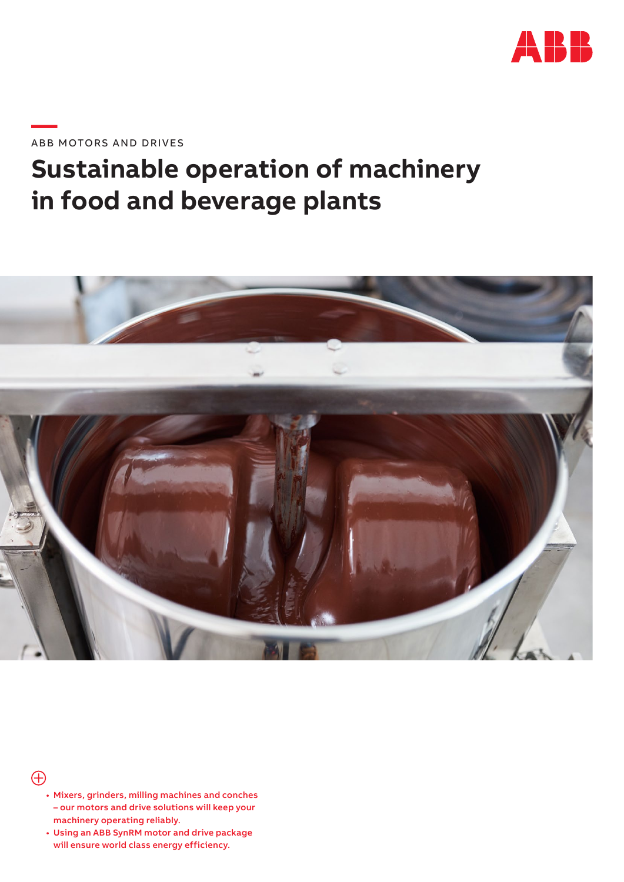

**—**ABB MOTORS AND DRIVES

# **Sustainable operation of machinery in food and beverage plants**



 $\bigoplus$ 

- Mixers, grinders, milling machines and conches – our motors and drive solutions will keep your machinery operating reliably.
- Using an ABB SynRM motor and drive package will ensure world class energy efficiency.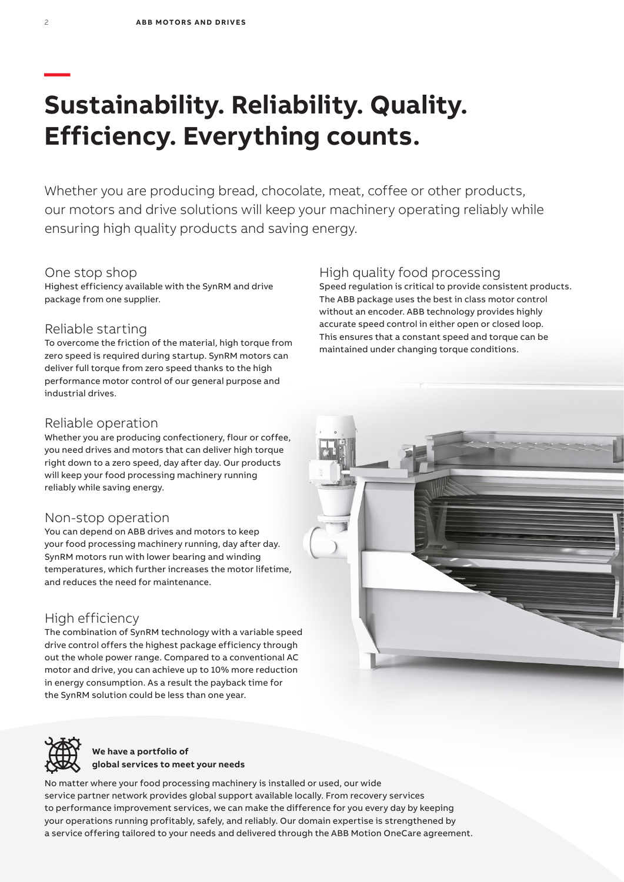## **— Sustainability. Reliability. Quality. Efficiency. Everything counts.**

Whether you are producing bread, chocolate, meat, coffee or other products, our motors and drive solutions will keep your machinery operating reliably while ensuring high quality products and saving energy.

#### One stop shop

Highest efficiency available with the SynRM and drive package from one supplier.

#### Reliable starting

To overcome the friction of the material, high torque from zero speed is required during startup. SynRM motors can deliver full torque from zero speed thanks to the high performance motor control of our general purpose and industrial drives.

#### Reliable operation

Whether you are producing confectionery, flour or coffee, you need drives and motors that can deliver high torque right down to a zero speed, day after day. Our products will keep your food processing machinery running reliably while saving energy.

#### Non-stop operation

You can depend on ABB drives and motors to keep your food processing machinery running, day after day. SynRM motors run with lower bearing and winding temperatures, which further increases the motor lifetime, and reduces the need for maintenance.

### High efficiency

The combination of SynRM technology with a variable speed drive control offers the highest package efficiency through out the whole power range. Compared to a conventional AC motor and drive, you can achieve up to 10% more reduction in energy consumption. As a result the payback time for the SynRM solution could be less than one year.

## High quality food processing

Speed regulation is critical to provide consistent products. The ABB package uses the best in class motor control without an encoder. ABB technology provides highly accurate speed control in either open or closed loop. This ensures that a constant speed and torque can be maintained under changing torque conditions.





**We have a portfolio of global services to meet your needs**

No matter where your food processing machinery is installed or used, our wide service partner network provides global support available locally. From recovery services to performance improvement services, we can make the difference for you every day by keeping your operations running profitably, safely, and reliably. Our domain expertise is strengthened by a service offering tailored to your needs and delivered through the ABB Motion OneCare agreement.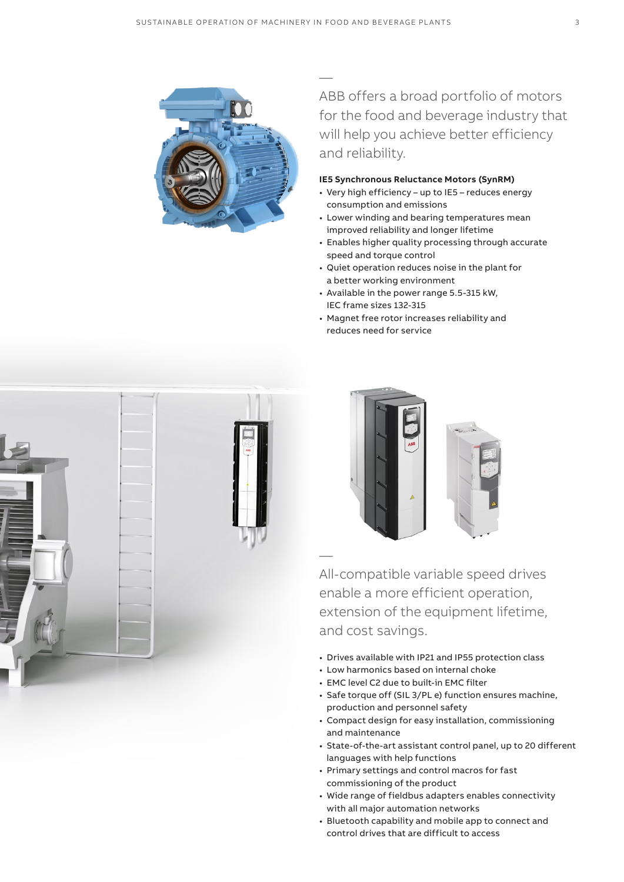

— ABB offers a broad portfolio of motors for the food and beverage industry that will help you achieve better efficiency and reliability.

#### **IE5 Synchronous Reluctance Motors (SynRM)**

- Very high efficiency up to IE5 reduces energy consumption and emissions
- Lower winding and bearing temperatures mean improved reliability and longer lifetime
- Enables higher quality processing through accurate speed and torque control
- Quiet operation reduces noise in the plant for a better working environment
- Available in the power range 5.5-315 kW, IEC frame sizes 132-315
- Magnet free rotor increases reliability and reduces need for service





All-compatible variable speed drives enable a more efficient operation, extension of the equipment lifetime, and cost savings.

- Drives available with IP21 and IP55 protection class
- Low harmonics based on internal choke
- EMC level C2 due to built-in EMC filter

—

- Safe torque off (SIL 3/PL e) function ensures machine, production and personnel safety
- Compact design for easy installation, commissioning and maintenance
- State-of-the-art assistant control panel, up to 20 different languages with help functions
- Primary settings and control macros for fast commissioning of the product
- Wide range of fieldbus adapters enables connectivity with all major automation networks
- Bluetooth capability and mobile app to connect and control drives that are difficult to access